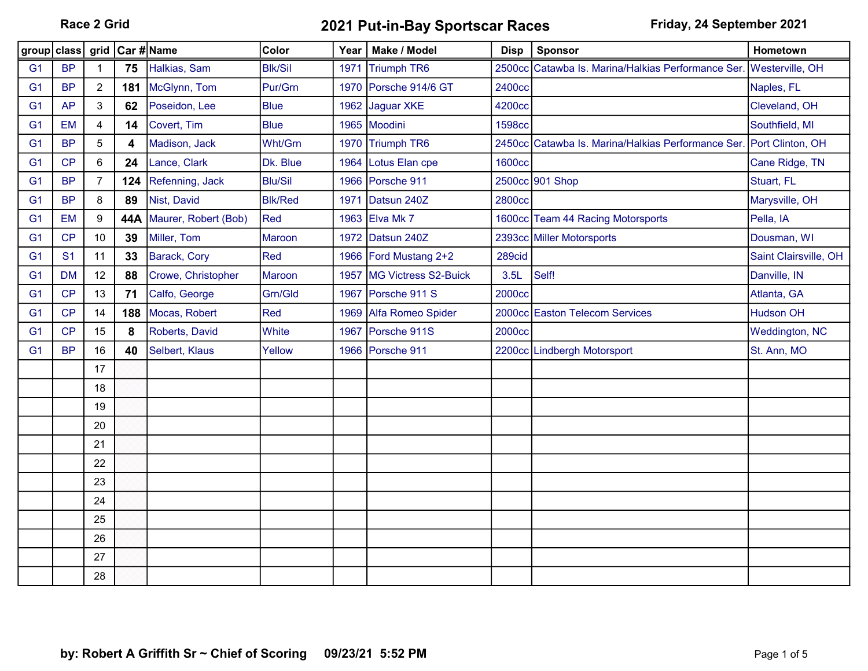Race 2 Grid **2021 Put-in-Bay Sportscar Races** Friday, 24 September 2021

| group class    |                | grid           | Car #∣Name |                      | Color          | Year | Make / Model           | <b>Disp</b>   | <b>Sponsor</b>                                                      | Hometown              |
|----------------|----------------|----------------|------------|----------------------|----------------|------|------------------------|---------------|---------------------------------------------------------------------|-----------------------|
| G <sub>1</sub> | <b>BP</b>      | $\mathbf{1}$   | 75         | Halkias, Sam         | <b>Blk/Sil</b> | 1971 | <b>Triumph TR6</b>     |               | 2500cc Catawba Is. Marina/Halkias Performance Ser. Westerville, OH  |                       |
| G <sub>1</sub> | <b>BP</b>      | $\overline{2}$ | 181        | McGlynn, Tom         | Pur/Grn        |      | 1970 Porsche 914/6 GT  | 2400cc        |                                                                     | Naples, FL            |
| G <sub>1</sub> | <b>AP</b>      | 3              | 62         | Poseidon, Lee        | <b>Blue</b>    |      | 1962 Jaguar XKE        | 4200cc        |                                                                     | Cleveland, OH         |
| G <sub>1</sub> | <b>EM</b>      | 4              | 14         | Covert, Tim          | <b>Blue</b>    |      | 1965 Moodini           | <b>1598cc</b> |                                                                     | Southfield, MI        |
| G <sub>1</sub> | <b>BP</b>      | 5              | 4          | Madison, Jack        | Wht/Grn        |      | 1970 Triumph TR6       |               | 2450cc Catawba Is. Marina/Halkias Performance Ser. Port Clinton, OH |                       |
| G <sub>1</sub> | CP             | 6              | 24         | Lance, Clark         | Dk. Blue       |      | 1964 Lotus Elan cpe    | <b>1600cc</b> |                                                                     | Cane Ridge, TN        |
| G <sub>1</sub> | <b>BP</b>      | 7              | 124        | Refenning, Jack      | <b>Blu/Sil</b> |      | 1966 Porsche 911       |               | 2500cc 901 Shop                                                     | Stuart, FL            |
| G <sub>1</sub> | <b>BP</b>      | 8              | 89         | Nist, David          | <b>Blk/Red</b> | 1971 | Datsun 240Z            | <b>2800cc</b> |                                                                     | Marysville, OH        |
| G <sub>1</sub> | <b>EM</b>      | $9\,$          | 44A        | Maurer, Robert (Bob) | Red            |      | 1963 Elva Mk 7         |               | 1600cc Team 44 Racing Motorsports                                   | Pella, IA             |
| G <sub>1</sub> | CP             | 10             | 39         | Miller, Tom          | <b>Maroon</b>  |      | 1972 Datsun 240Z       |               | 2393cc Miller Motorsports                                           | Dousman, WI           |
| G <sub>1</sub> | S <sub>1</sub> | 11             | 33         | Barack, Cory         | Red            |      | 1966 Ford Mustang 2+2  | 289cid        |                                                                     | Saint Clairsville, OH |
| G <sub>1</sub> | <b>DM</b>      | 12             | 88         | Crowe, Christopher   | <b>Maroon</b>  | 1957 | MG Victress S2-Buick   | 3.5L          | Self!                                                               | Danville, IN          |
| G <sub>1</sub> | CP             | 13             | 71         | Calfo, George        | Grn/Gld        |      | 1967 Porsche 911 S     | <b>2000cc</b> |                                                                     | Atlanta, GA           |
| G <sub>1</sub> | CP             | 14             | 188        | Mocas, Robert        | Red            |      | 1969 Alfa Romeo Spider |               | 2000cc Easton Telecom Services                                      | <b>Hudson OH</b>      |
| G <sub>1</sub> | CP             | 15             | 8          | Roberts, David       | White          | 1967 | Porsche 911S           | 2000cc        |                                                                     | <b>Weddington, NC</b> |
| G <sub>1</sub> | <b>BP</b>      | 16             | 40         | Selbert, Klaus       | Yellow         |      | 1966 Porsche 911       |               | 2200cc Lindbergh Motorsport                                         | St. Ann, MO           |
|                |                | 17             |            |                      |                |      |                        |               |                                                                     |                       |
|                |                | 18             |            |                      |                |      |                        |               |                                                                     |                       |
|                |                | 19             |            |                      |                |      |                        |               |                                                                     |                       |
|                |                | 20             |            |                      |                |      |                        |               |                                                                     |                       |
|                |                | 21             |            |                      |                |      |                        |               |                                                                     |                       |
|                |                | 22             |            |                      |                |      |                        |               |                                                                     |                       |
|                |                | 23             |            |                      |                |      |                        |               |                                                                     |                       |
|                |                | 24             |            |                      |                |      |                        |               |                                                                     |                       |
|                |                | 25             |            |                      |                |      |                        |               |                                                                     |                       |
|                |                | 26             |            |                      |                |      |                        |               |                                                                     |                       |
|                |                | 27             |            |                      |                |      |                        |               |                                                                     |                       |
|                |                | 28             |            |                      |                |      |                        |               |                                                                     |                       |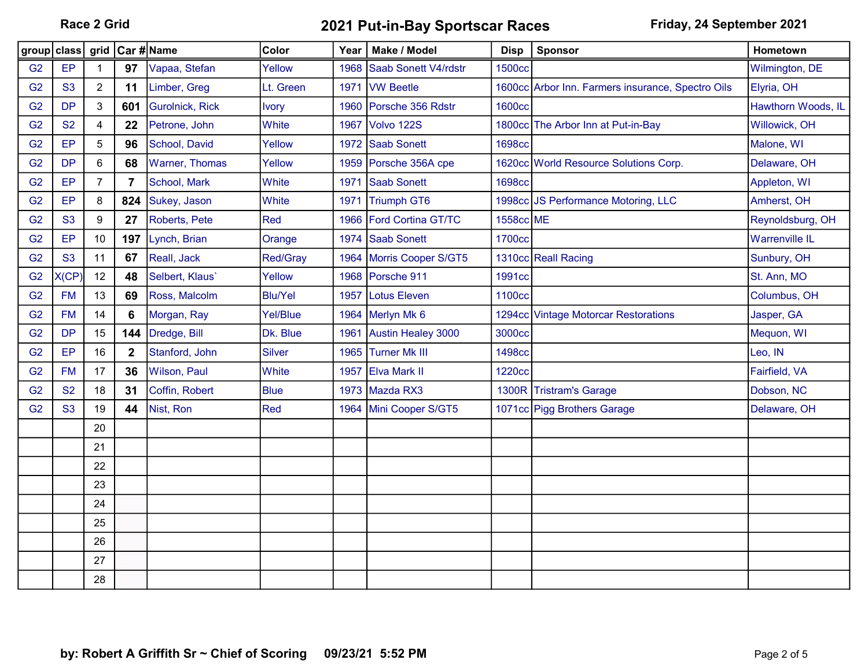Race 2 Grid **2021 Put-in-Bay Sportscar Races** Friday, 24 September 2021

| group class grid Car # Name |                |                |                |                       | Color           | Year ∣ | Make / Model              | <b>Disp</b>   | <b>Sponsor</b>                                    | Hometown              |
|-----------------------------|----------------|----------------|----------------|-----------------------|-----------------|--------|---------------------------|---------------|---------------------------------------------------|-----------------------|
| G <sub>2</sub>              | EP             | 1              | 97             | Vapaa, Stefan         | Yellow          | 1968   | Saab Sonett V4/rdstr      | <b>1500cc</b> |                                                   | Wilmington, DE        |
| G2                          | <b>S3</b>      | $\overline{c}$ | 11             | Limber, Greg          | Lt. Green       |        | 1971 IVW Beetle           |               | 1600cc Arbor Inn. Farmers insurance, Spectro Oils | Elyria, OH            |
| G <sub>2</sub>              | <b>DP</b>      | 3              | 601            | Gurolnick, Rick       | <b>Ivory</b>    |        | 1960 Porsche 356 Rdstr    | <b>1600cc</b> |                                                   | Hawthorn Woods, IL    |
| G <sub>2</sub>              | <b>S2</b>      | 4              | 22             | Petrone, John         | White           | 1967   | Volvo 122S                |               | 1800cc The Arbor Inn at Put-in-Bay                | Willowick, OH         |
| G <sub>2</sub>              | EP             | 5              | 96             | School, David         | Yellow          |        | 1972 Saab Sonett          | <b>1698cc</b> |                                                   | Malone, WI            |
| G <sub>2</sub>              | <b>DP</b>      | 6              | 68             | <b>Warner, Thomas</b> | Yellow          | 1959   | Porsche 356A cpe          |               | 1620cc World Resource Solutions Corp.             | Delaware, OH          |
| G <sub>2</sub>              | EP             | 7              | $\overline{7}$ | School, Mark          | White           | 1971   | <b>Saab Sonett</b>        | <b>1698cc</b> |                                                   | Appleton, WI          |
| G <sub>2</sub>              | EP             | 8              | 824            | Sukey, Jason          | White           | 1971   | Triumph GT6               |               | 1998cc JS Performance Motoring, LLC               | Amherst, OH           |
| G <sub>2</sub>              | <b>S3</b>      | 9              | 27             | Roberts, Pete         | Red             | 1966   | <b>Ford Cortina GT/TC</b> | 1558cc ME     |                                                   | Reynoldsburg, OH      |
| G <sub>2</sub>              | EP             | 10             | 197            | Lynch, Brian          | Orange          |        | 1974 Saab Sonett          | <b>1700cc</b> |                                                   | <b>Warrenville IL</b> |
| G <sub>2</sub>              | S <sub>3</sub> | 11             | 67             | Reall, Jack           | Red/Gray        |        | 1964 Morris Cooper S/GT5  |               | 1310cc Reall Racing                               | Sunbury, OH           |
| G <sub>2</sub>              | X(CP)          | 12             | 48             | Selbert, Klaus'       | Yellow          |        | 1968 Porsche 911          | 1991cc        |                                                   | St. Ann, MO           |
| G <sub>2</sub>              | <b>FM</b>      | 13             | 69             | Ross, Malcolm         | <b>Blu/Yel</b>  | 1957   | <b>Lotus Eleven</b>       | 1100cc        |                                                   | Columbus, OH          |
| G <sub>2</sub>              | <b>FM</b>      | 14             | 6              | Morgan, Ray           | <b>Yel/Blue</b> |        | 1964 Merlyn Mk 6          |               | 1294cc Vintage Motorcar Restorations              | Jasper, GA            |
| G <sub>2</sub>              | <b>DP</b>      | 15             | 144            | Dredge, Bill          | Dk. Blue        |        | 1961 Austin Healey 3000   | 3000cc        |                                                   | Mequon, WI            |
| G <sub>2</sub>              | EP             | 16             | $\mathbf{2}$   | Stanford, John        | <b>Silver</b>   |        | 1965 Turner Mk III        | <b>1498cc</b> |                                                   | Leo, IN               |
| G <sub>2</sub>              | <b>FM</b>      | 17             | 36             | Wilson, Paul          | White           |        | 1957 Elva Mark II         | <b>1220cc</b> |                                                   | Fairfield, VA         |
| G <sub>2</sub>              | <b>S2</b>      | 18             | 31             | Coffin, Robert        | <b>Blue</b>     |        | 1973 Mazda RX3            | 1300R         | <b>Tristram's Garage</b>                          | Dobson, NC            |
| G <sub>2</sub>              | <b>S3</b>      | 19             | 44             | Nist, Ron             | Red             |        | 1964 Mini Cooper S/GT5    |               | 1071cc Pigg Brothers Garage                       | Delaware, OH          |
|                             |                | 20             |                |                       |                 |        |                           |               |                                                   |                       |
|                             |                | 21             |                |                       |                 |        |                           |               |                                                   |                       |
|                             |                | 22             |                |                       |                 |        |                           |               |                                                   |                       |
|                             |                | 23             |                |                       |                 |        |                           |               |                                                   |                       |
|                             |                | 24             |                |                       |                 |        |                           |               |                                                   |                       |
|                             |                | 25             |                |                       |                 |        |                           |               |                                                   |                       |
|                             |                | 26             |                |                       |                 |        |                           |               |                                                   |                       |
|                             |                | 27             |                |                       |                 |        |                           |               |                                                   |                       |
|                             |                | 28             |                |                       |                 |        |                           |               |                                                   |                       |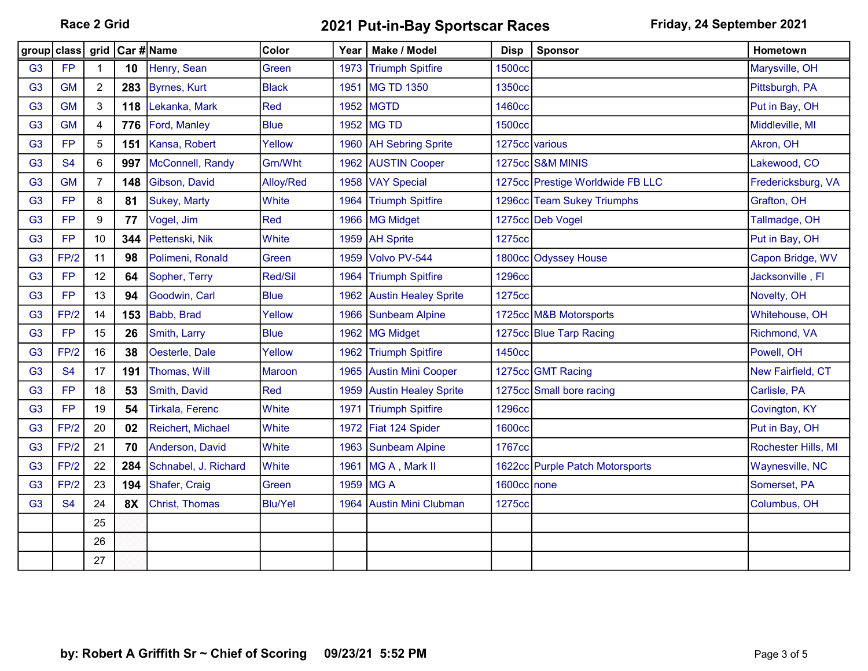Race 2 Grid **2021 Put-in-Bay Sportscar Races** Friday, 24 September 2021

| group          | class     | grid                    | Car #∣Name |                        | Color          | Year | Make / Model                | <b>Disp</b>    | Sponsor                          | Hometown            |
|----------------|-----------|-------------------------|------------|------------------------|----------------|------|-----------------------------|----------------|----------------------------------|---------------------|
| G <sub>3</sub> | <b>FP</b> | 1                       | 10         | Henry, Sean            | Green          | 1973 | <b>Triumph Spitfire</b>     | <b>1500cc</b>  |                                  | Marysville, OH      |
| G <sub>3</sub> | <b>GM</b> | $\overline{2}$          | 283        | <b>Byrnes, Kurt</b>    | <b>Black</b>   | 1951 | MG TD 1350                  | 1350cc         |                                  | Pittsburgh, PA      |
| G <sub>3</sub> | <b>GM</b> | 3                       | 118        | Lekanka, Mark          | Red            |      | 1952 MGTD                   | 1460cc         |                                  | Put in Bay, OH      |
| G <sub>3</sub> | <b>GM</b> | $\overline{\mathbf{4}}$ | 776        | Ford, Manley           | <b>Blue</b>    |      | 1952 MG TD                  | <b>1500cc</b>  |                                  | Middleville, MI     |
| G <sub>3</sub> | <b>FP</b> | 5                       | 151        | Kansa, Robert          | Yellow         |      | 1960 AH Sebring Sprite      | 1275cc various |                                  | Akron, OH           |
| G <sub>3</sub> | <b>S4</b> | 6                       | 997        | McConnell, Randy       | Grn/Wht        |      | 1962 AUSTIN Cooper          |                | 1275cc S&M MINIS                 | Lakewood, CO        |
| G <sub>3</sub> | <b>GM</b> | $\overline{7}$          | 148        | Gibson, David          | Alloy/Red      |      | 1958 VAY Special            |                | 1275cc Prestige Worldwide FB LLC | Fredericksburg, VA  |
| G <sub>3</sub> | <b>FP</b> | 8                       | 81         | Sukey, Marty           | White          | 1964 | <b>Triumph Spitfire</b>     | 1296cc         | <b>Team Sukey Triumphs</b>       | Grafton, OH         |
| G <sub>3</sub> | <b>FP</b> | 9                       | 77         | Vogel, Jim             | Red            |      | 1966   MG Midget            |                | 1275cc Deb Vogel                 | Tallmadge, OH       |
| G <sub>3</sub> | <b>FP</b> | 10                      | 344        | Pettenski, Nik         | White          |      | 1959   AH Sprite            | 1275cc         |                                  | Put in Bay, OH      |
| G <sub>3</sub> | FP/2      | 11                      | 98         | Polimeni, Ronald       | Green          | 1959 | Volvo PV-544                |                | 1800cc Odyssey House             | Capon Bridge, WV    |
| G <sub>3</sub> | <b>FP</b> | 12                      | 64         | Sopher, Terry          | Red/Sil        | 1964 | <b>Triumph Spitfire</b>     | <b>1296cc</b>  |                                  | Jacksonville, Fl    |
| G <sub>3</sub> | <b>FP</b> | 13                      | 94         | Goodwin, Carl          | <b>Blue</b>    | 1962 | <b>Austin Healey Sprite</b> | 1275cc         |                                  | Novelty, OH         |
| G <sub>3</sub> | FP/2      | 14                      | 153        | Babb, Brad             | Yellow         |      | 1966 Sunbeam Alpine         |                | 1725cc M&B Motorsports           | Whitehouse, OH      |
| G <sub>3</sub> | <b>FP</b> | 15                      | 26         | Smith, Larry           | <b>Blue</b>    |      | 1962 MG Midget              |                | 1275cc Blue Tarp Racing          | Richmond, VA        |
| G <sub>3</sub> | FP/2      | 16                      | 38         | Oesterle, Dale         | Yellow         | 1962 | <b>Triumph Spitfire</b>     | 1450cc         |                                  | Powell, OH          |
| G <sub>3</sub> | <b>S4</b> | 17                      | 191        | Thomas, Will           | <b>Maroon</b>  |      | 1965 Austin Mini Cooper     |                | 1275cc GMT Racing                | New Fairfield, CT   |
| G <sub>3</sub> | <b>FP</b> | 18                      | 53         | Smith, David           | Red            | 1959 | <b>Austin Healey Sprite</b> |                | 1275cc Small bore racing         | Carlisle, PA        |
| G <sub>3</sub> | <b>FP</b> | 19                      | 54         | <b>Tirkala, Ferenc</b> | White          | 1971 | <b>Triumph Spitfire</b>     | <b>1296cc</b>  |                                  | Covington, KY       |
| G <sub>3</sub> | FP/2      | 20                      | 02         | Reichert, Michael      | White          | 1972 | Fiat 124 Spider             | <b>1600cc</b>  |                                  | Put in Bay, OH      |
| G <sub>3</sub> | FP/2      | 21                      | 70         | Anderson, David        | White          | 1963 | Sunbeam Alpine              | 1767cc         |                                  | Rochester Hills, MI |
| G <sub>3</sub> | FP/2      | 22                      | 284        | Schnabel, J. Richard   | White          | 1961 | MG A, Mark II               |                | 1622cc Purple Patch Motorsports  | Waynesville, NC     |
| G <sub>3</sub> | FP/2      | 23                      | 194        | Shafer, Craig          | Green          |      | 1959 MG A                   | 1600cc none    |                                  | Somerset, PA        |
| G <sub>3</sub> | <b>S4</b> | 24                      | <b>8X</b>  | Christ, Thomas         | <b>Blu/Yel</b> | 1964 | <b>Austin Mini Clubman</b>  | 1275cc         |                                  | Columbus, OH        |
|                |           | 25                      |            |                        |                |      |                             |                |                                  |                     |
|                |           | 26                      |            |                        |                |      |                             |                |                                  |                     |
|                |           | 27                      |            |                        |                |      |                             |                |                                  |                     |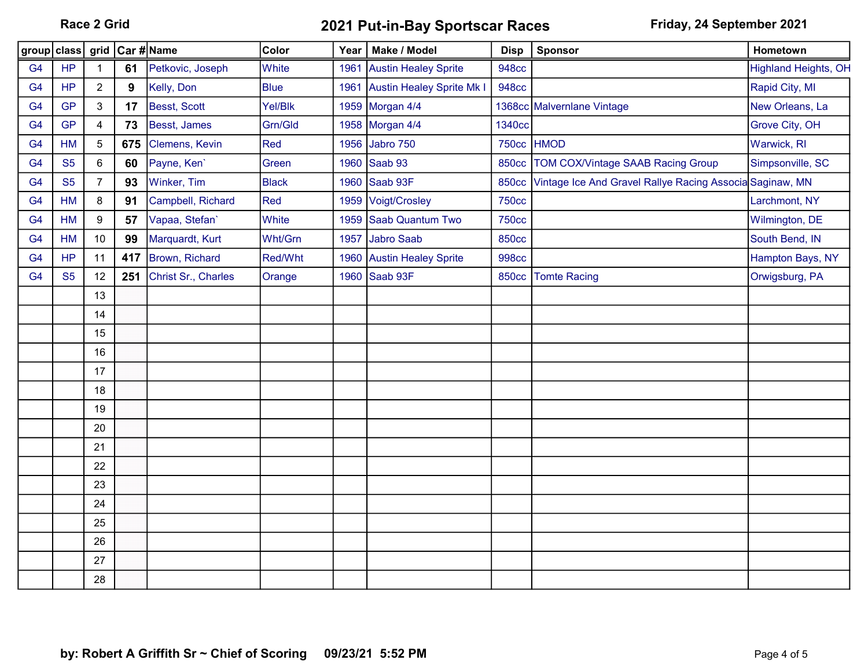Race 2 Grid **2021 Put-in-Bay Sportscar Races** Friday, 24 September 2021

| group   class  |           |                | grid Car #Name |                     | Color        | Year | Make / Model                     | <b>Disp</b>   | Sponsor                                                        | Hometown                    |
|----------------|-----------|----------------|----------------|---------------------|--------------|------|----------------------------------|---------------|----------------------------------------------------------------|-----------------------------|
| G <sub>4</sub> | <b>HP</b> | $\mathbf 1$    | 61             | Petkovic, Joseph    | White        | 1961 | <b>Austin Healey Sprite</b>      | <b>948cc</b>  |                                                                | <b>Highland Heights, OH</b> |
| G <sub>4</sub> | <b>HP</b> | $\overline{2}$ | 9              | Kelly, Don          | <b>Blue</b>  | 1961 | <b>Austin Healey Sprite Mk I</b> | <b>948cc</b>  |                                                                | Rapid City, MI              |
| G <sub>4</sub> | <b>GP</b> | 3              | 17             | Besst, Scott        | Yel/Blk      |      | 1959 Morgan 4/4                  |               | 1368cc Malvernlane Vintage                                     | New Orleans, La             |
| G <sub>4</sub> | <b>GP</b> | 4              | 73             | Besst, James        | Grn/Gld      |      | 1958 Morgan 4/4                  | <b>1340cc</b> |                                                                | Grove City, OH              |
| G <sub>4</sub> | HM        | $\mathbf 5$    | 675            | Clemens, Kevin      | Red          |      | 1956 Jabro 750                   |               | 750cc HMOD                                                     | Warwick, RI                 |
| G <sub>4</sub> | <b>S5</b> | 6              | 60             | Payne, Ken'         | Green        |      | 1960 Saab 93                     | <b>850cc</b>  | TOM COX/Vintage SAAB Racing Group                              | Simpsonville, SC            |
| G <sub>4</sub> | <b>S5</b> | $\overline{7}$ | 93             | Winker, Tim         | <b>Black</b> |      | 1960 Saab 93F                    |               | 850cc Vintage Ice And Gravel Rallye Racing Associa Saginaw, MN |                             |
| G <sub>4</sub> | HM        | 8              | 91             | Campbell, Richard   | Red          |      | 1959 Voigt/Crosley               | <b>750cc</b>  |                                                                | Larchmont, NY               |
| G <sub>4</sub> | <b>HM</b> | 9              | 57             | Vapaa, Stefan'      | White        | 1959 | Saab Quantum Two                 | <b>750cc</b>  |                                                                | Wilmington, DE              |
| G <sub>4</sub> | <b>HM</b> | 10             | 99             | Marquardt, Kurt     | Wht/Grn      |      | 1957 Jabro Saab                  | <b>850cc</b>  |                                                                | South Bend, IN              |
| G <sub>4</sub> | HP        | 11             | 417            | Brown, Richard      | Red/Wht      |      | 1960 Austin Healey Sprite        | <b>998cc</b>  |                                                                | Hampton Bays, NY            |
| G <sub>4</sub> | <b>S5</b> | 12             | 251            | Christ Sr., Charles | Orange       |      | 1960 Saab 93F                    | <b>850cc</b>  | <b>Tomte Racing</b>                                            | Orwigsburg, PA              |
|                |           | 13             |                |                     |              |      |                                  |               |                                                                |                             |
|                |           | 14             |                |                     |              |      |                                  |               |                                                                |                             |
|                |           | 15             |                |                     |              |      |                                  |               |                                                                |                             |
|                |           | 16             |                |                     |              |      |                                  |               |                                                                |                             |
|                |           | 17             |                |                     |              |      |                                  |               |                                                                |                             |
|                |           | 18             |                |                     |              |      |                                  |               |                                                                |                             |
|                |           | 19             |                |                     |              |      |                                  |               |                                                                |                             |
|                |           | 20             |                |                     |              |      |                                  |               |                                                                |                             |
|                |           | 21             |                |                     |              |      |                                  |               |                                                                |                             |
|                |           | 22             |                |                     |              |      |                                  |               |                                                                |                             |
|                |           | 23             |                |                     |              |      |                                  |               |                                                                |                             |
|                |           | 24             |                |                     |              |      |                                  |               |                                                                |                             |
|                |           | 25             |                |                     |              |      |                                  |               |                                                                |                             |
|                |           | 26             |                |                     |              |      |                                  |               |                                                                |                             |
|                |           | 27             |                |                     |              |      |                                  |               |                                                                |                             |
|                |           | 28             |                |                     |              |      |                                  |               |                                                                |                             |